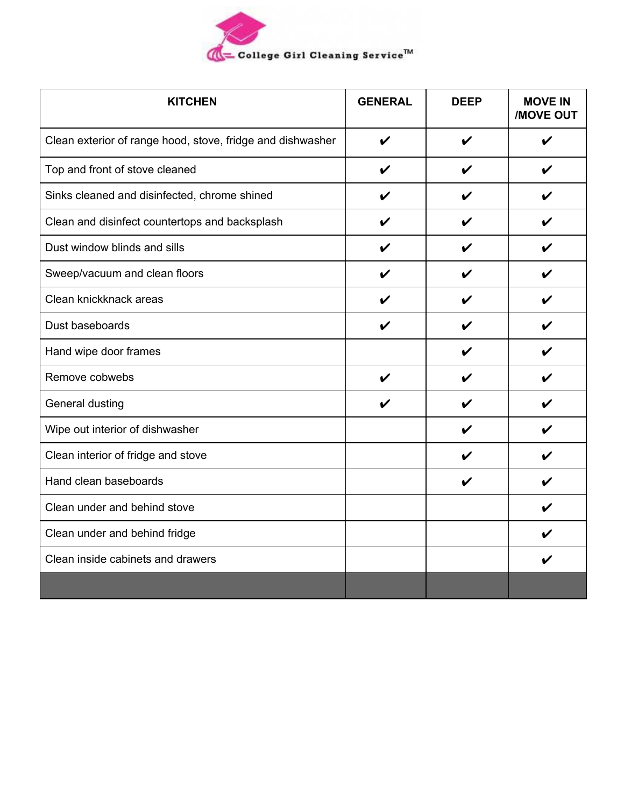

| <b>KITCHEN</b>                                             | <b>GENERAL</b> | <b>DEEP</b> | <b>MOVE IN</b><br><b>/MOVE OUT</b> |
|------------------------------------------------------------|----------------|-------------|------------------------------------|
| Clean exterior of range hood, stove, fridge and dishwasher | ✔              | V           | V                                  |
| Top and front of stove cleaned                             | V              | V           | V                                  |
| Sinks cleaned and disinfected, chrome shined               | V              | V           | $\boldsymbol{\nu}$                 |
| Clean and disinfect countertops and backsplash             | V              | V           |                                    |
| Dust window blinds and sills                               |                |             |                                    |
| Sweep/vacuum and clean floors                              |                | ı           |                                    |
| Clean knickknack areas                                     |                | ı           |                                    |
| Dust baseboards                                            | V              | V           | ✔                                  |
| Hand wipe door frames                                      |                | V           | V                                  |
| Remove cobwebs                                             | ✔              |             |                                    |
| General dusting                                            |                | ı           |                                    |
| Wipe out interior of dishwasher                            |                | V           |                                    |
| Clean interior of fridge and stove                         |                | V           |                                    |
| Hand clean baseboards                                      |                | V           |                                    |
| Clean under and behind stove                               |                |             |                                    |
| Clean under and behind fridge                              |                |             |                                    |
| Clean inside cabinets and drawers                          |                |             |                                    |
|                                                            |                |             |                                    |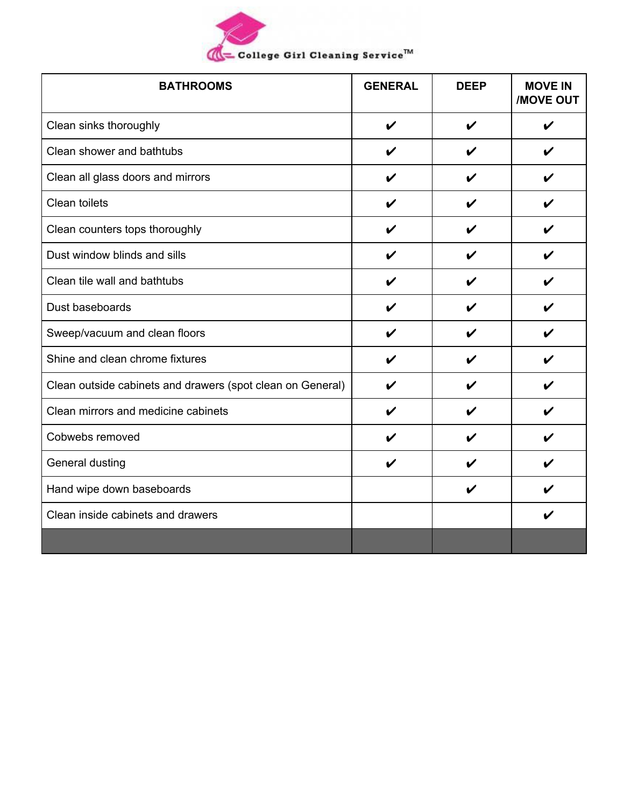| (College Girl Cleaning Service™ |  |
|---------------------------------|--|

| <b>BATHROOMS</b>                                           | <b>GENERAL</b> | <b>DEEP</b> | <b>MOVE IN</b><br><b>MOVE OUT</b> |
|------------------------------------------------------------|----------------|-------------|-----------------------------------|
| Clean sinks thoroughly                                     | V              | V           | V                                 |
| Clean shower and bathtubs                                  | V              | V           | V                                 |
| Clean all glass doors and mirrors                          | V              | V           | V                                 |
| Clean toilets                                              | V              | V           | V                                 |
| Clean counters tops thoroughly                             | ✔              | V           | V                                 |
| Dust window blinds and sills                               | V              | V           | V                                 |
| Clean tile wall and bathtubs                               | V              | V           | V                                 |
| Dust baseboards                                            | V              | V           | V                                 |
| Sweep/vacuum and clean floors                              | V              | V           | V                                 |
| Shine and clean chrome fixtures                            | ✔              | V           | V                                 |
| Clean outside cabinets and drawers (spot clean on General) | ı              | V           | V                                 |
| Clean mirrors and medicine cabinets                        | ı              | V           | V                                 |
| Cobwebs removed                                            |                |             | V                                 |
| General dusting                                            | V              |             | V                                 |
| Hand wipe down baseboards                                  |                | V           |                                   |
| Clean inside cabinets and drawers                          |                |             | V                                 |
|                                                            |                |             |                                   |